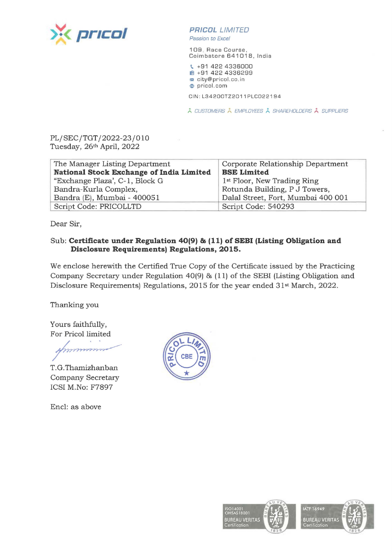

## **PR/COL** LIMITED

Passion *to* Excel

109 Race Course, Coimbatore 641018, India

\. +91 422 4336000 **ltll** +91 422 4336299 **1.:1** city@pricol.co.in **e** pricol.com

CIN : L34200TZ2011PLC022194

À CUSTOMERS À EMPLOYEES À SHAREHOLDERS À SUPPLIERS

PL/SEC/TGT/2022-23/010 Tuesday, 26th April, 2022

| The Manager Listing Department           | Corporate Relationship Department       |
|------------------------------------------|-----------------------------------------|
| National Stock Exchange of India Limited | <b>BSE Limited</b>                      |
| "Exchange Plaza', C-1, Block G           | 1 <sup>st</sup> Floor, New Trading Ring |
| Bandra-Kurla Complex,                    | Rotunda Building, P J Towers,           |
| Bandra (E), Mumbai - 400051              | Dalal Street, Fort, Mumbai 400 001      |
| Script Code: PRICOLLTD                   | Script Code: 540293                     |

Dear Sir,

## Sub: **Certificate under Regulation 40(9) & (11) of SEBI (Listing Obligation and Disclosure Requirements) Regulations, 2015.**

We enclose herewith the Certified True Copy of the Certificate issued by the Practicing Company Secretary under Regulation 40(9) & (11) of the SEBI (Listing Obligation and Disclosure Requirements) Regulations, 2015 for the year ended 31st March, 2022.

Thanking you

Yours faithfully, For Pricol limited

numun

T.G.Thamizhanban Company Secretary ICSI M.No: F7897

Encl: as above